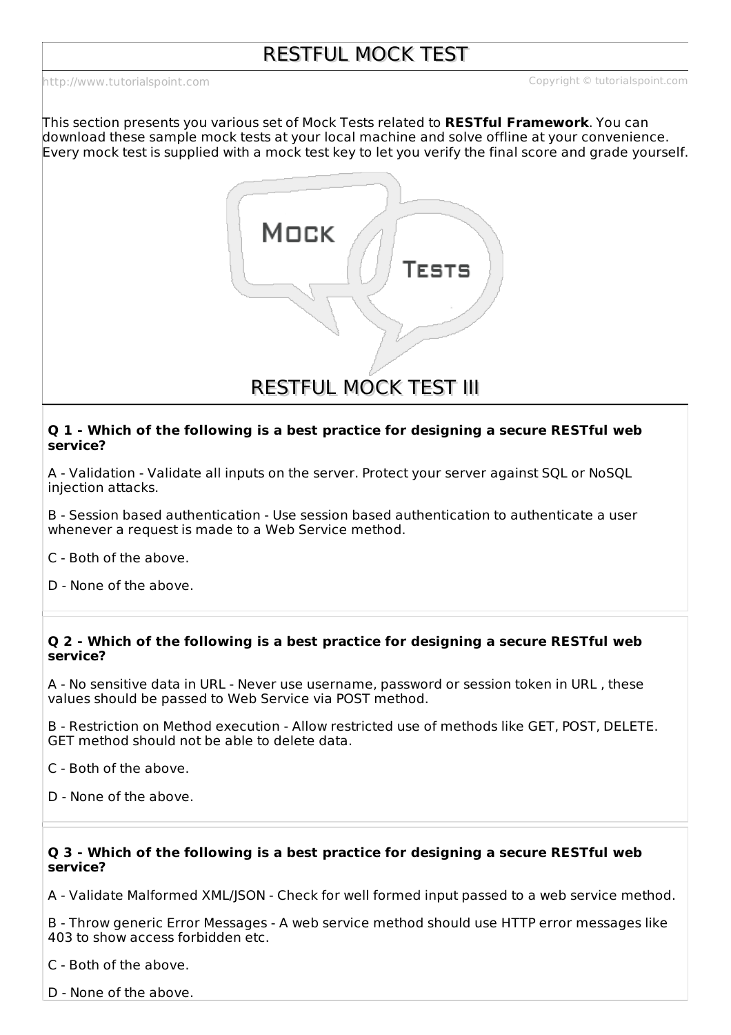This section presents you various set of Mock Tests related to **RESTful Framework**. You can download these sample mock tests at your local machine and solve offline at your convenience. Every mock test is supplied with a mock test key to let you verify the final score and grade yourself.



RESTFUL MOCK TEST III

#### **Q 1 - Which of the following is a best practice for designing a secure RESTful web service?**

A - Validation - Validate all inputs on the server. Protect your server against SQL or NoSQL injection attacks.

B - Session based authentication - Use session based authentication to authenticate a user whenever a request is made to a Web Service method.

C - Both of the above.

D - None of the above.

# **Q 2 - Which of the following is a best practice for designing a secure RESTful web service?**

A - No sensitive data in URL - Never use username, password or session token in URL , these values should be passed to Web Service via POST method.

B - Restriction on Method execution - Allow restricted use of methods like GET, POST, DELETE. GET method should not be able to delete data.

C - Both of the above.

D - None of the above.

# **Q 3 - Which of the following is a best practice for designing a secure RESTful web service?**

A - Validate Malformed XML/JSON - Check for well formed input passed to a web service method.

B - Throw generic Error Messages - A web service method should use HTTP error messages like 403 to show access forbidden etc.

C - Both of the above.

D - None of the above.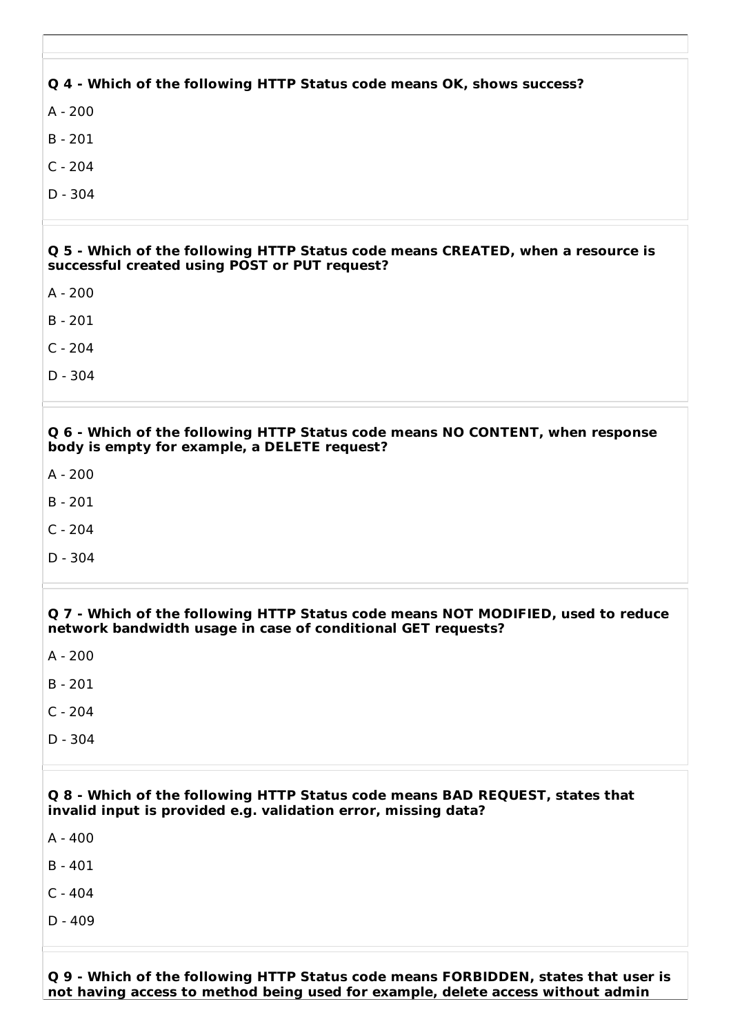| Q 4 - Which of the following HTTP Status code means OK, shows success?                                                                           |
|--------------------------------------------------------------------------------------------------------------------------------------------------|
| $A - 200$                                                                                                                                        |
| $B - 201$                                                                                                                                        |
| $C - 204$                                                                                                                                        |
| $D - 304$                                                                                                                                        |
|                                                                                                                                                  |
| Q 5 - Which of the following HTTP Status code means CREATED, when a resource is<br>successful created using POST or PUT request?                 |
| $A - 200$                                                                                                                                        |
| $B - 201$                                                                                                                                        |
| $C - 204$                                                                                                                                        |
| $D - 304$                                                                                                                                        |
|                                                                                                                                                  |
| Q 6 - Which of the following HTTP Status code means NO CONTENT, when response<br>body is empty for example, a DELETE request?                    |
| $A - 200$                                                                                                                                        |
| $B - 201$                                                                                                                                        |
| $C - 204$                                                                                                                                        |
| $D - 304$                                                                                                                                        |
|                                                                                                                                                  |
| Q 7 - Which of the following HTTP Status code means NOT MODIFIED, used to reduce<br>network bandwidth usage in case of conditional GET requests? |
| $A - 200$                                                                                                                                        |
| $B - 201$                                                                                                                                        |
| $C - 204$                                                                                                                                        |
| $D - 304$                                                                                                                                        |
|                                                                                                                                                  |
| Q 8 - Which of the following HTTP Status code means BAD REQUEST, states that<br>invalid input is provided e.g. validation error, missing data?   |
| $A - 400$                                                                                                                                        |
| $B - 401$                                                                                                                                        |
| $C - 404$                                                                                                                                        |
| $D - 409$                                                                                                                                        |
|                                                                                                                                                  |
| Which of the following UTTD Ctatus sode moons EODDINNEN states that user is                                                                      |

**Q 9 - Which of the following HTTP Status code means FORBIDDEN, states that user is not having access to method being used for example, delete access without admin**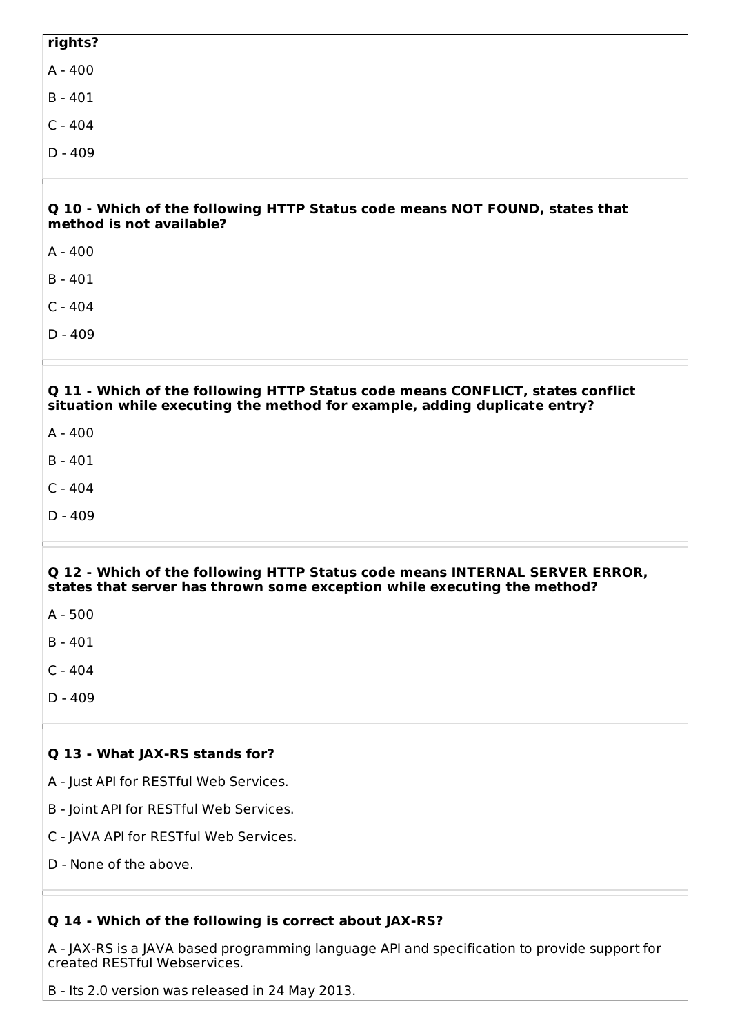# **rights?** A - 400 B - 401 C - 404 D - 409

#### **Q 10 - Which of the following HTTP Status code means NOT FOUND, states that method is not available?**

A - 400

B - 401

- C 404
- D 409

# **Q 11 - Which of the following HTTP Status code means CONFLICT, states conflict situation while executing the method for example, adding duplicate entry?**

- A 400
- B 401
- C 404
- D 409

# **Q 12 - Which of the following HTTP Status code means INTERNAL SERVER ERROR, states that server has thrown some exception while executing the method?**

B - 401

- $C 404$
- $D 409$

# **Q 13 - What JAX-RS stands for?**

- A Just API for RESTful Web Services.
- B Joint API for RESTful Web Services.
- C JAVA API for RESTful Web Services.
- D None of the above.

# **Q 14 - Which of the following is correct about JAX-RS?**

A - JAX-RS is a JAVA based programming language API and specification to provide support for created RESTful Webservices.

B - Its 2.0 version was released in 24 May 2013.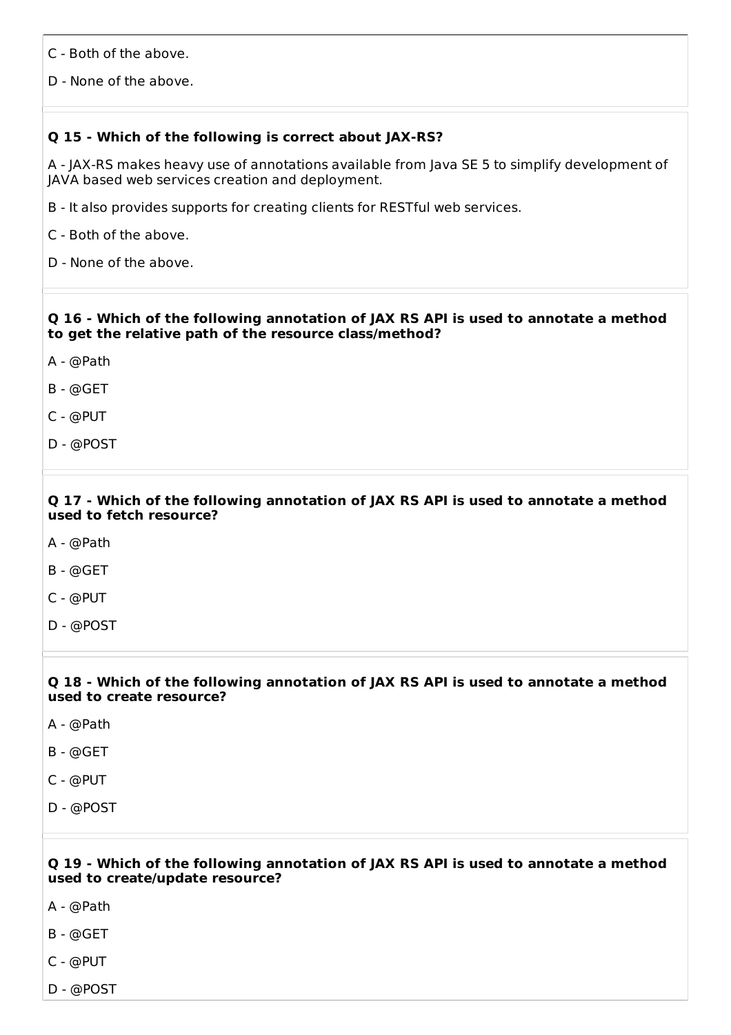C - Both of the above.

D - None of the above.

# **Q 15 - Which of the following is correct about JAX-RS?**

A - JAX-RS makes heavy use of annotations available from Java SE 5 to simplify development of JAVA based web services creation and deployment.

B - It also provides supports for creating clients for RESTful web services.

C - Both of the above.

D - None of the above.

#### **Q 16 - Which of the following annotation of JAX RS API is used to annotate a method to get the relative path of the resource class/method?**

A - @Path

B - @GET

C - @PUT

D - @POST

# **Q 17 - Which of the following annotation of JAX RS API is used to annotate a method used to fetch resource?**

- A @Path
- B @GET
- C @PUT
- D @POST

#### **Q 18 - Which of the following annotation of JAX RS API is used to annotate a method used to create resource?**

- A @Path
- B @GET
- C @PUT
- D @POST

#### **Q 19 - Which of the following annotation of JAX RS API is used to annotate a method used to create/update resource?**

- A @Path
- B @GET
- C @PUT
- D @POST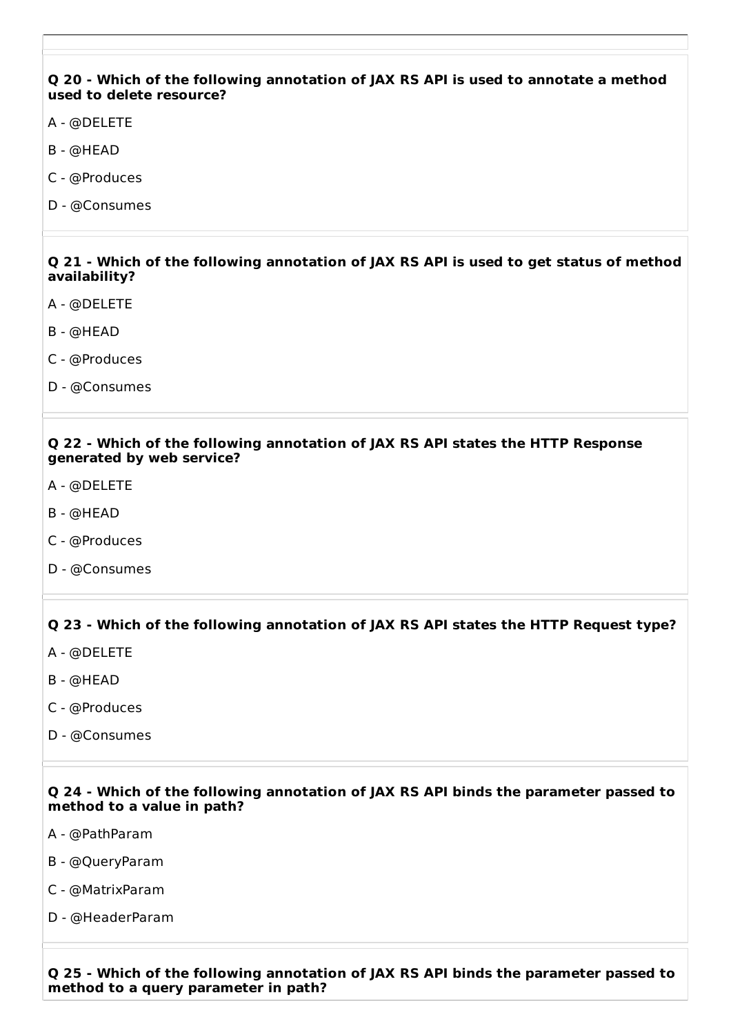#### **Q 20 - Which of the following annotation of JAX RS API is used to annotate a method used to delete resource?**

- A @DELETE
- B @HEAD
- C @Produces
- D @Consumes

#### **Q 21 - Which of the following annotation of JAX RS API is used to get status of method availability?**

- A @DELETE
- B @HEAD
- C @Produces
- D @Consumes

#### **Q 22 - Which of the following annotation of JAX RS API states the HTTP Response generated by web service?**

- A @DELETE
- B @HEAD
- C @Produces
- D @Consumes

# **Q 23 - Which of the following annotation of JAX RS API states the HTTP Request type?**

- A @DELETE
- B @HEAD
- C @Produces
- D @Consumes

#### **Q 24 - Which of the following annotation of JAX RS API binds the parameter passed to method to a value in path?**

- A @PathParam
- B @QueryParam
- C @MatrixParam
- D @HeaderParam

**Q 25 - Which of the following annotation of JAX RS API binds the parameter passed to method to a query parameter in path?**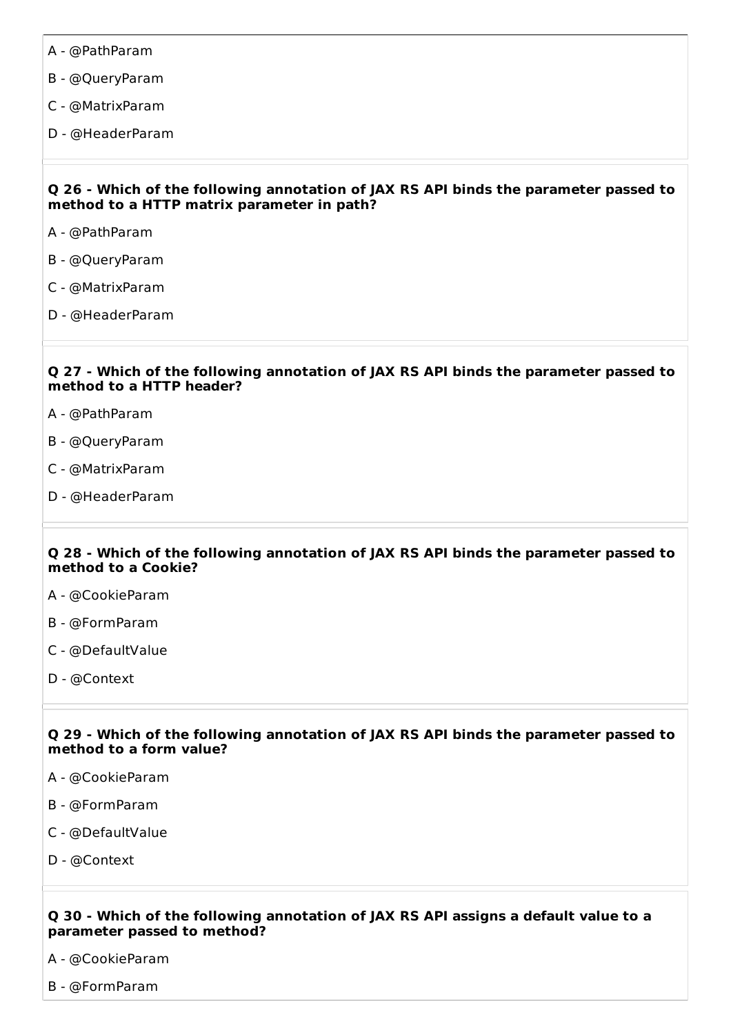- A @PathParam
- B @QueryParam
- C @MatrixParam
- D @HeaderParam

#### **Q 26 - Which of the following annotation of JAX RS API binds the parameter passed to method to a HTTP matrix parameter in path?**

- A @PathParam
- B @QueryParam
- C @MatrixParam
- D @HeaderParam

#### **Q 27 - Which of the following annotation of JAX RS API binds the parameter passed to method to a HTTP header?**

- A @PathParam
- B @QueryParam
- C @MatrixParam
- D @HeaderParam

#### **Q 28 - Which of the following annotation of JAX RS API binds the parameter passed to method to a Cookie?**

- A @CookieParam
- B @FormParam
- C @DefaultValue
- D @Context

#### **Q 29 - Which of the following annotation of JAX RS API binds the parameter passed to method to a form value?**

- A @CookieParam
- B @FormParam
- C @DefaultValue
- D @Context

#### **Q 30 - Which of the following annotation of JAX RS API assigns a default value to a parameter passed to method?**

- A @CookieParam
- B @FormParam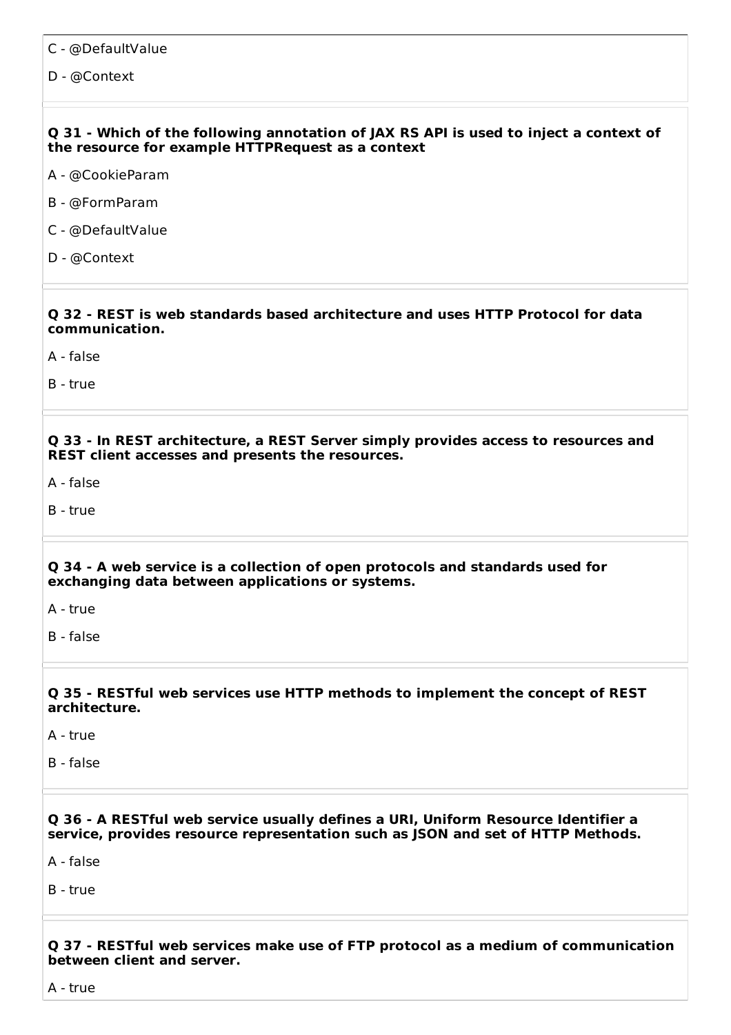- C @DefaultValue
- D @Context

#### **Q 31 - Which of the following annotation of JAX RS API is used to inject a context of the resource for example HTTPRequest as a context**

- A @CookieParam
- B @FormParam
- C @DefaultValue
- D @Context

#### **Q 32 - REST is web standards based architecture and uses HTTP Protocol for data communication.**

A - false

B - true

**Q 33 - In REST architecture, a REST Server simply provides access to resources and REST client accesses and presents the resources.**

A - false

B - true

#### **Q 34 - A web service is a collection of open protocols and standards used for exchanging data between applications or systems.**

A - true

B - false

#### **Q 35 - RESTful web services use HTTP methods to implement the concept of REST architecture.**

A - true

B - false

#### **Q 36 - A RESTful web service usually defines a URI, Uniform Resource Identifier a service, provides resource representation such as JSON and set of HTTP Methods.**

A - false

B - true

#### **Q 37 - RESTful web services make use of FTP protocol as a medium of communication between client and server.**

A - true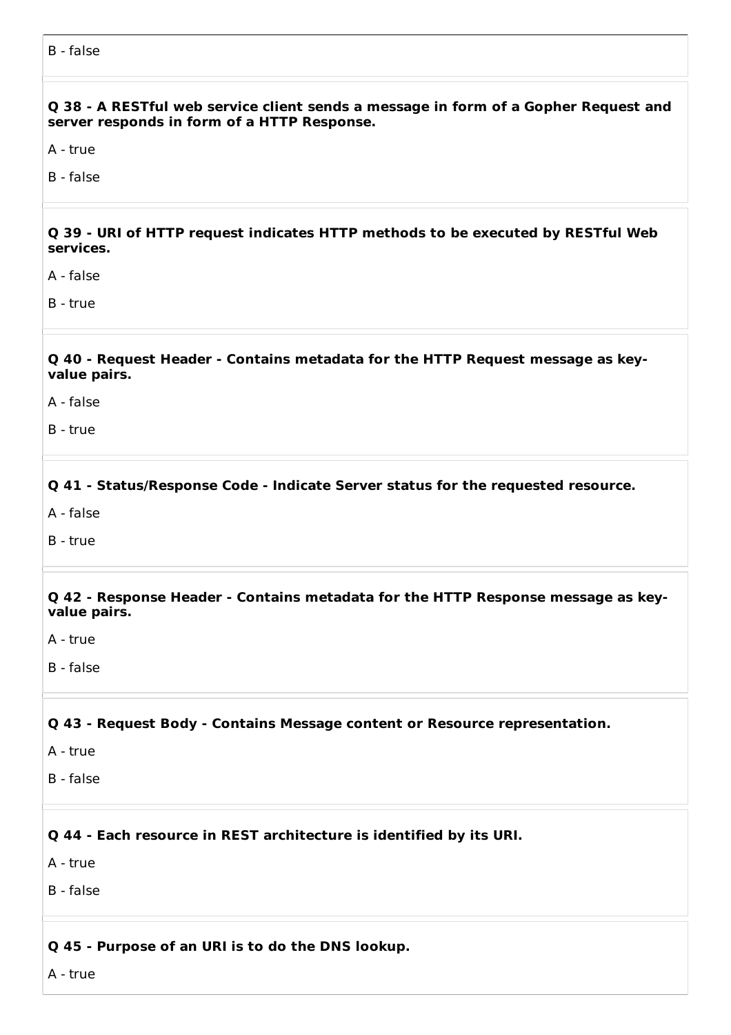**Q 38 - A RESTful web service client sends a message in form of a Gopher Request and server responds in form of a HTTP Response.**

A - true

B - false

**Q 39 - URI of HTTP request indicates HTTP methods to be executed by RESTful Web services.**

A - false

B - true

**Q 40 - Request Header - Contains metadata for the HTTP Request message as keyvalue pairs.**

A - false

B - true

**Q 41 - Status/Response Code - Indicate Server status for the requested resource.**

A - false

B - true

**Q 42 - Response Header - Contains metadata for the HTTP Response message as keyvalue pairs.**

A - true

B - false

**Q 43 - Request Body - Contains Message content or Resource representation.**

- A true
- B false

**Q 44 - Each resource in REST architecture is identified by its URI.**

A - true

B - false

**Q 45 - Purpose of an URI is to do the DNS lookup.**

A - true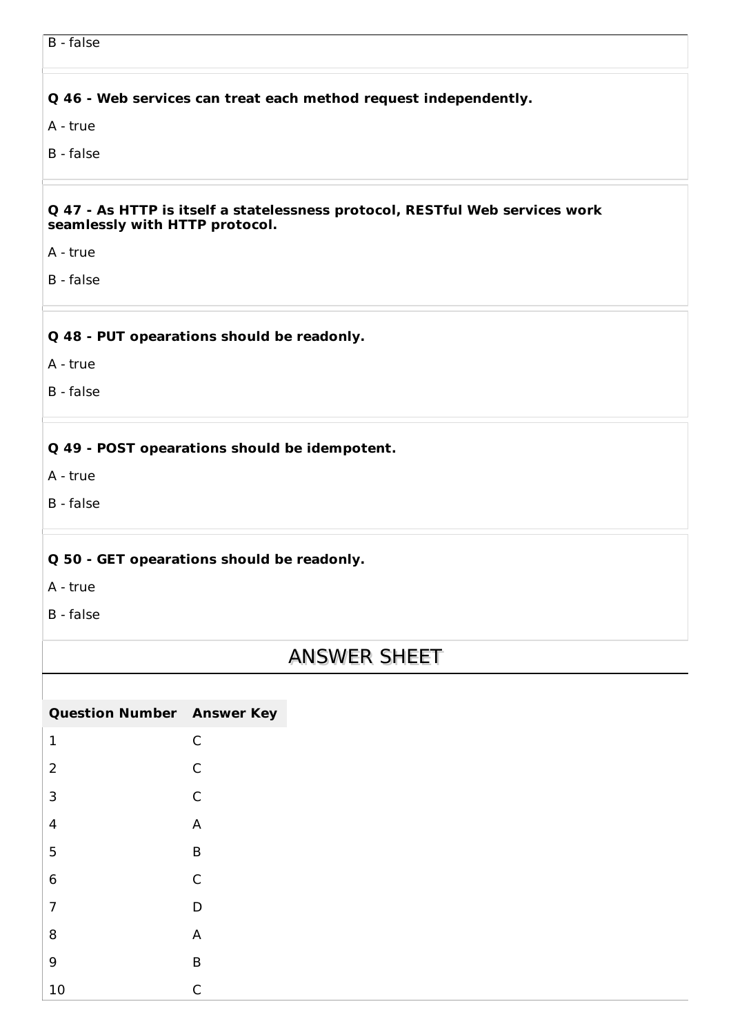B - false

# **Q 46 - Web services can treat each method request independently.**

A - true

B - false

#### **Q 47 - As HTTP is itself a statelessness protocol, RESTful Web services work seamlessly with HTTP protocol.**

A - true

B - false

# **Q 48 - PUT opearations should be readonly.**

A - true

B - false

# **Q 49 - POST opearations should be idempotent.**

A - true

B - false

# **Q 50 - GET opearations should be readonly.**

A - true

B - false

# ANSWER SHEET

| <b>Question Number Answer Key</b> |   |
|-----------------------------------|---|
| 1                                 | C |
| $\overline{2}$                    | C |
| 3                                 | C |
| 4                                 | A |
| 5                                 | B |
| 6                                 | C |
| $\overline{7}$                    | D |
| 8                                 | A |
| 9                                 | B |
| 10                                | C |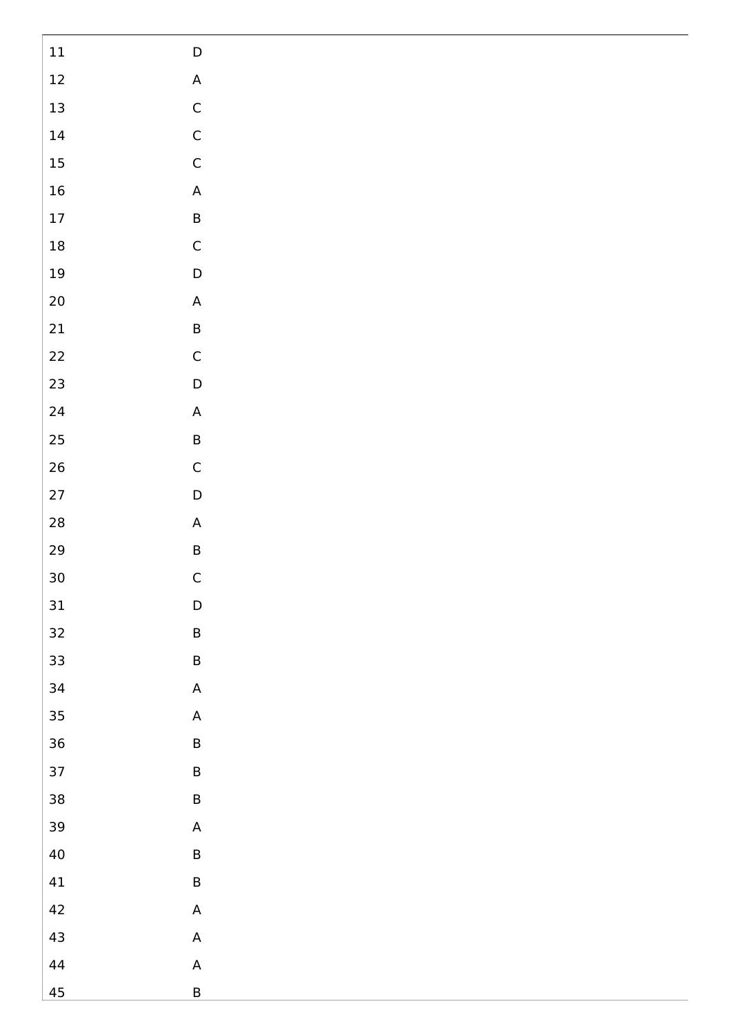| $11\,$               | $\mathsf D$                                                           |
|----------------------|-----------------------------------------------------------------------|
| $12\,$               | $\mathsf A$                                                           |
| 13                   | $\mathsf C$                                                           |
| $\ensuremath{^{14}}$ | $\mathsf C$                                                           |
| 15                   | $\mathsf C$                                                           |
| $16\,$               | $\mathsf A$                                                           |
| $17\,$               | $\sf B$                                                               |
| $18\,$               | $\mathsf C$                                                           |
| $19\,$               | $\mathsf D$                                                           |
| $20\,$               | $\mathsf A$                                                           |
| 21                   | $\sf B$                                                               |
| $22\,$               | ${\mathsf C}$                                                         |
| 23                   | $\mathsf D$                                                           |
| $24\,$               | $\mathsf{A}% _{\mathsf{A}}^{\prime}=\mathsf{A}_{\mathsf{A}}^{\prime}$ |
| 25                   | $\sf B$                                                               |
| 26                   | $\mathsf C$                                                           |
| 27                   | $\mathsf D$                                                           |
| ${\bf 28}$           | $\mathsf A$                                                           |
| 29                   | $\sf{B}$                                                              |
| 30                   | $\mathsf{C}$                                                          |
| $31\,$               | $\mathsf D$                                                           |
| 32                   | $\sf B$                                                               |
| 33                   | $\sf B$                                                               |
| 34                   | $\mathsf{A}% _{\mathcal{A}}^{\ast}=\mathsf{A}_{\mathcal{A}}^{\ast}$   |
| 35                   | $\mathsf{A}% _{\mathcal{A}}^{\ast }=\mathsf{A}_{\mathcal{A}}^{\ast }$ |
| 36                   | $\sf B$                                                               |
| 37                   | $\sf B$                                                               |
| 38                   | $\sf B$                                                               |
| 39                   | $\mathsf A$                                                           |
| $40\,$               | $\sf B$                                                               |
| $41\,$               | $\sf B$                                                               |
| 42                   | $\mathsf A$                                                           |
| 43                   | $\mathsf A$                                                           |
| $44\,$               | $\mathsf{A}% _{\mathsf{A}}^{\prime}=\mathsf{A}_{\mathsf{A}}^{\prime}$ |
| 45                   | $\sf B$                                                               |